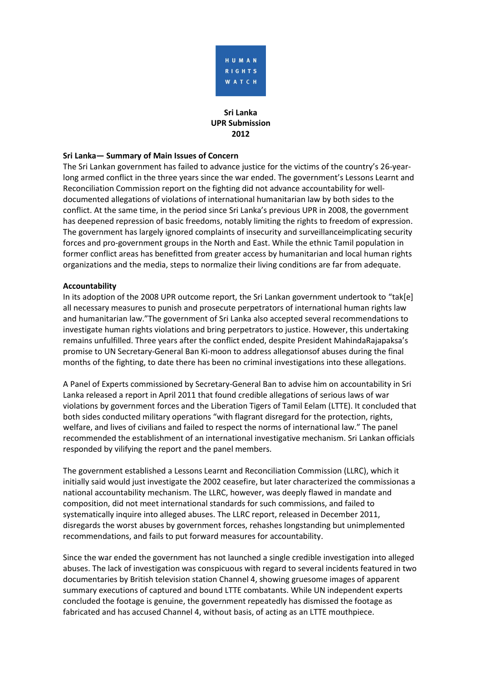

# **Sri Lanka UPR Submission 2012**

### **Sri Lanka— Summary of Main Issues of Concern**

The Sri Lankan government has failed to advance justice for the victims of the country's 26-yearlong armed conflict in the three years since the war ended. The government's Lessons Learnt and Reconciliation Commission report on the fighting did not advance accountability for welldocumented allegations of violations of international humanitarian law by both sides to the conflict. At the same time, in the period since Sri Lanka's previous UPR in 2008, the government has deepened repression of basic freedoms, notably limiting the rights to freedom of expression. The government has largely ignored complaints of insecurity and surveillanceimplicating security forces and pro-government groups in the North and East. While the ethnic Tamil population in former conflict areas has benefitted from greater access by humanitarian and local human rights organizations and the media, steps to normalize their living conditions are far from adequate.

#### **Accountability**

In its adoption of the 2008 UPR outcome report, the Sri Lankan government undertook to "tak[e] all necessary measures to punish and prosecute perpetrators of international human rights law and humanitarian law."The government of Sri Lanka also accepted several recommendations to investigate human rights violations and bring perpetrators to justice. However, this undertaking remains unfulfilled. Three years after the conflict ended, despite President MahindaRajapaksa's promise to UN Secretary-General Ban Ki-moon to address allegationsof abuses during the final months of the fighting, to date there has been no criminal investigations into these allegations.

A Panel of Experts commissioned by Secretary-General Ban to advise him on accountability in Sri Lanka released a report in April 2011 that found credible allegations of serious laws of war violations by government forces and the Liberation Tigers of Tamil Eelam (LTTE). It concluded that both sides conducted military operations "with flagrant disregard for the protection, rights, welfare, and lives of civilians and failed to respect the norms of international law." The panel recommended the establishment of an international investigative mechanism. Sri Lankan officials responded by vilifying the report and the panel members.

The government established a Lessons Learnt and Reconciliation Commission (LLRC), which it initially said would just investigate the 2002 ceasefire, but later characterized the commissionas a national accountability mechanism. The LLRC, however, was deeply flawed in mandate and composition, did not meet international standards for such commissions, and failed to systematically inquire into alleged abuses. The LLRC report, released in December 2011, disregards the worst abuses by government forces, rehashes longstanding but unimplemented recommendations, and fails to put forward measures for accountability.

Since the war ended the government has not launched a single credible investigation into alleged abuses. The lack of investigation was conspicuous with regard to several incidents featured in two documentaries by British television station Channel 4, showing gruesome images of apparent summary executions of captured and bound LTTE combatants. While UN independent experts concluded the footage is genuine, the government repeatedly has dismissed the footage as fabricated and has accused Channel 4, without basis, of acting as an LTTE mouthpiece.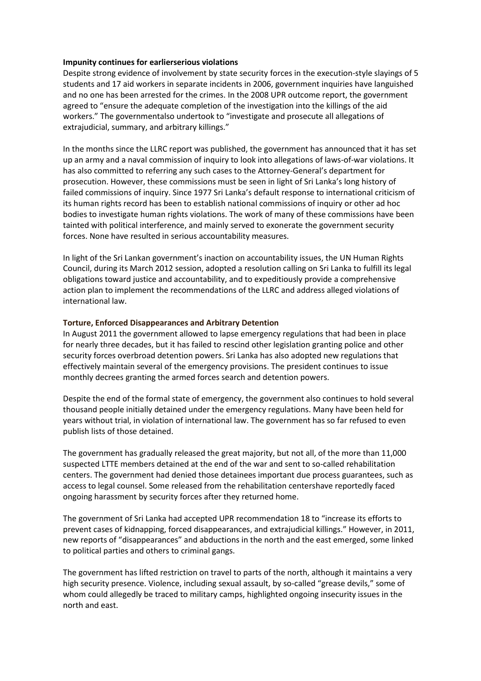#### **Impunity continues for earlierserious violations**

Despite strong evidence of involvement by state security forces in the execution-style slayings of 5 students and 17 aid workers in separate incidents in 2006, government inquiries have languished and no one has been arrested for the crimes. In the 2008 UPR outcome report, the government agreed to "ensure the adequate completion of the investigation into the killings of the aid workers." The governmentalso undertook to "investigate and prosecute all allegations of extrajudicial, summary, and arbitrary killings."

In the months since the LLRC report was published, the government has announced that it has set up an army and a naval commission of inquiry to look into allegations of laws-of-war violations. It has also committed to referring any such cases to the Attorney-General's department for prosecution. However, these commissions must be seen in light of Sri Lanka's long history of failed commissions of inquiry. Since 1977 Sri Lanka's default response to international criticism of its human rights record has been to establish national commissions of inquiry or other ad hoc bodies to investigate human rights violations. The work of many of these commissions have been tainted with political interference, and mainly served to exonerate the government security forces. None have resulted in serious accountability measures.

In light of the Sri Lankan government's inaction on accountability issues, the UN Human Rights Council, during its March 2012 session, adopted a resolution calling on Sri Lanka to fulfill its legal obligations toward justice and accountability, and to expeditiously provide a comprehensive action plan to implement the recommendations of the LLRC and address alleged violations of international law.

#### **Torture, Enforced Disappearances and Arbitrary Detention**

In August 2011 the government allowed to lapse emergency regulations that had been in place for nearly three decades, but it has failed to rescind other legislation granting police and other security forces overbroad detention powers. Sri Lanka has also adopted new regulations that effectively maintain several of the emergency provisions. The president continues to issue monthly decrees granting the armed forces search and detention powers.

Despite the end of the formal state of emergency, the government also continues to hold several thousand people initially detained under the emergency regulations. Many have been held for years without trial, in violation of international law. The government has so far refused to even publish lists of those detained.

The government has gradually released the great majority, but not all, of the more than 11,000 suspected LTTE members detained at the end of the war and sent to so-called rehabilitation centers. The government had denied those detainees important due process guarantees, such as access to legal counsel. Some released from the rehabilitation centershave reportedly faced ongoing harassment by security forces after they returned home.

The government of Sri Lanka had accepted UPR recommendation 18 to "increase its efforts to prevent cases of kidnapping, forced disappearances, and extrajudicial killings." However, in 2011, new reports of "disappearances" and abductions in the north and the east emerged, some linked to political parties and others to criminal gangs.

The government has lifted restriction on travel to parts of the north, although it maintains a very high security presence. Violence, including sexual assault, by so-called "grease devils," some of whom could allegedly be traced to military camps, highlighted ongoing insecurity issues in the north and east.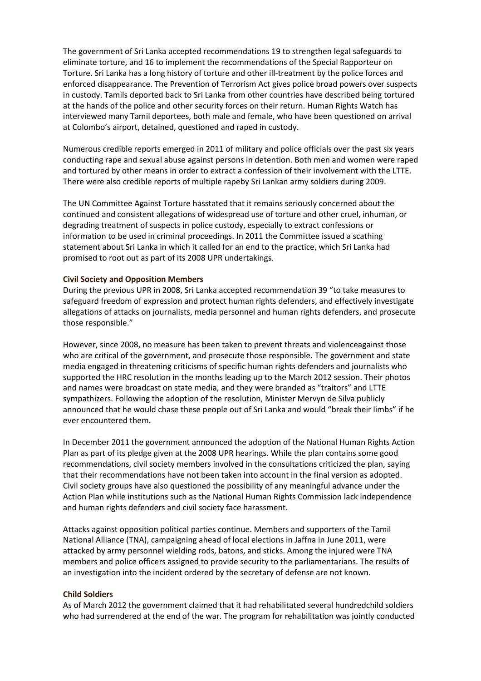The government of Sri Lanka accepted recommendations 19 to strengthen legal safeguards to eliminate torture, and 16 to implement the recommendations of the Special Rapporteur on Torture. Sri Lanka has a long history of torture and other ill-treatment by the police forces and enforced disappearance. The Prevention of Terrorism Act gives police broad powers over suspects in custody. Tamils deported back to Sri Lanka from other countries have described being tortured at the hands of the police and other security forces on their return. Human Rights Watch has interviewed many Tamil deportees, both male and female, who have been questioned on arrival at Colombo's airport, detained, questioned and raped in custody.

Numerous credible reports emerged in 2011 of military and police officials over the past six years conducting rape and sexual abuse against persons in detention. Both men and women were raped and tortured by other means in order to extract a confession of their involvement with the LTTE. There were also credible reports of multiple rapeby Sri Lankan army soldiers during 2009.

The UN Committee Against Torture hasstated that it remains seriously concerned about the continued and consistent allegations of widespread use of torture and other cruel, inhuman, or degrading treatment of suspects in police custody, especially to extract confessions or information to be used in criminal proceedings. In 2011 the Committee issued a scathing statement about Sri Lanka in which it called for an end to the practice, which Sri Lanka had promised to root out as part of its 2008 UPR undertakings.

### **Civil Society and Opposition Members**

During the previous UPR in 2008, Sri Lanka accepted recommendation 39 "to take measures to safeguard freedom of expression and protect human rights defenders, and effectively investigate allegations of attacks on journalists, media personnel and human rights defenders, and prosecute those responsible."

However, since 2008, no measure has been taken to prevent threats and violenceagainst those who are critical of the government, and prosecute those responsible. The government and state media engaged in threatening criticisms of specific human rights defenders and journalists who supported the HRC resolution in the months leading up to the March 2012 session. Their photos and names were broadcast on state media, and they were branded as "traitors" and LTTE sympathizers. Following the adoption of the resolution, Minister Mervyn de Silva publicly announced that he would chase these people out of Sri Lanka and would "break their limbs" if he ever encountered them.

In December 2011 the government announced the adoption of the National Human Rights Action Plan as part of its pledge given at the 2008 UPR hearings. While the plan contains some good recommendations, civil society members involved in the consultations criticized the plan, saying that their recommendations have not been taken into account in the final version as adopted. Civil society groups have also questioned the possibility of any meaningful advance under the Action Plan while institutions such as the National Human Rights Commission lack independence and human rights defenders and civil society face harassment.

Attacks against opposition political parties continue. Members and supporters of the Tamil National Alliance (TNA), campaigning ahead of local elections in Jaffna in June 2011, were attacked by army personnel wielding rods, batons, and sticks. Among the injured were TNA members and police officers assigned to provide security to the parliamentarians. The results of an investigation into the incident ordered by the secretary of defense are not known.

### **Child Soldiers**

As of March 2012 the government claimed that it had rehabilitated several hundredchild soldiers who had surrendered at the end of the war. The program for rehabilitation was jointly conducted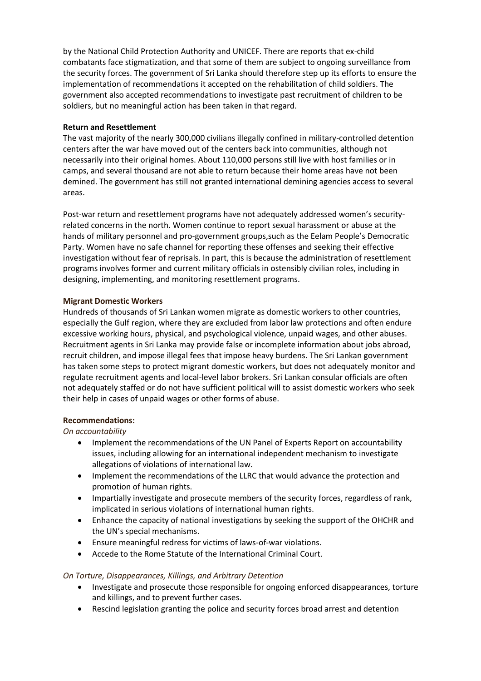by the National Child Protection Authority and UNICEF. There are reports that ex-child combatants face stigmatization, and that some of them are subject to ongoing surveillance from the security forces. The government of Sri Lanka should therefore step up its efforts to ensure the implementation of recommendations it accepted on the rehabilitation of child soldiers. The government also accepted recommendations to investigate past recruitment of children to be soldiers, but no meaningful action has been taken in that regard.

## **Return and Resettlement**

The vast majority of the nearly 300,000 civilians illegally confined in military-controlled detention centers after the war have moved out of the centers back into communities, although not necessarily into their original homes. About 110,000 persons still live with host families or in camps, and several thousand are not able to return because their home areas have not been demined. The government has still not granted international demining agencies access to several areas.

Post-war return and resettlement programs have not adequately addressed women's securityrelated concerns in the north. Women continue to report sexual harassment or abuse at the hands of military personnel and pro-government groups,such as the Eelam People's Democratic Party. Women have no safe channel for reporting these offenses and seeking their effective investigation without fear of reprisals. In part, this is because the administration of resettlement programs involves former and current military officials in ostensibly civilian roles, including in designing, implementing, and monitoring resettlement programs.

## **Migrant Domestic Workers**

Hundreds of thousands of Sri Lankan women migrate as domestic workers to other countries, especially the Gulf region, where they are excluded from labor law protections and often endure excessive working hours, physical, and psychological violence, unpaid wages, and other abuses. Recruitment agents in Sri Lanka may provide false or incomplete information about jobs abroad, recruit children, and impose illegal fees that impose heavy burdens. The Sri Lankan government has taken some steps to protect migrant domestic workers, but does not adequately monitor and regulate recruitment agents and local-level labor brokers. Sri Lankan consular officials are often not adequately staffed or do not have sufficient political will to assist domestic workers who seek their help in cases of unpaid wages or other forms of abuse.

# **Recommendations:**

*On accountability*

- Implement the recommendations of the UN Panel of Experts Report on accountability issues, including allowing for an international independent mechanism to investigate allegations of violations of international law.
- Implement the recommendations of the LLRC that would advance the protection and promotion of human rights.
- Impartially investigate and prosecute members of the security forces, regardless of rank, implicated in serious violations of international human rights.
- Enhance the capacity of national investigations by seeking the support of the OHCHR and the UN's special mechanisms.
- Ensure meaningful redress for victims of laws-of-war violations.
- Accede to the Rome Statute of the International Criminal Court.

# *On Torture, Disappearances, Killings, and Arbitrary Detention*

- Investigate and prosecute those responsible for ongoing enforced disappearances, torture and killings, and to prevent further cases.
- Rescind legislation granting the police and security forces broad arrest and detention